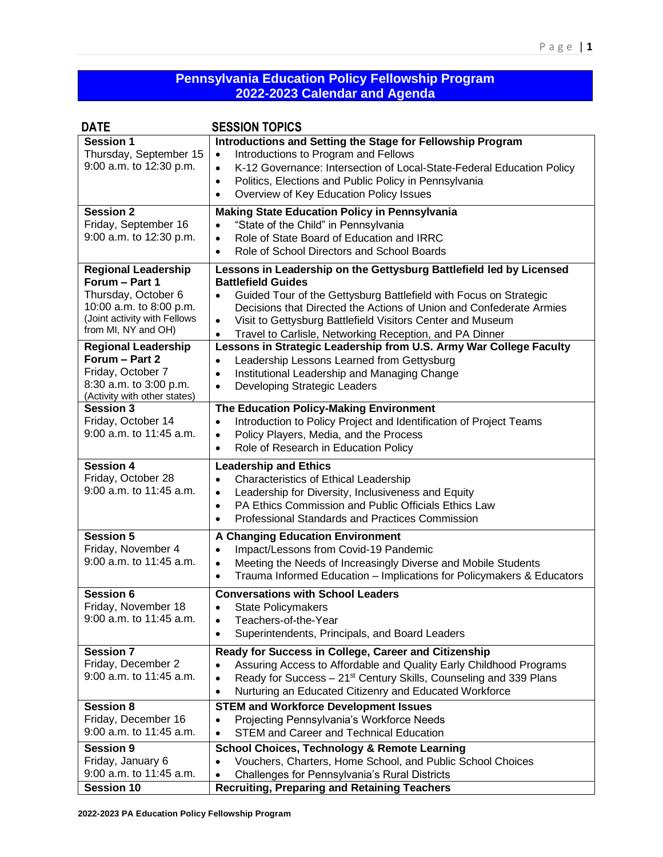## **Pennsylvania Education Policy Fellowship Program 2022-2023 Calendar and Agenda**

| <b>DATE</b>                                                                                                                                           | <b>SESSION TOPICS</b>                                                                                                                                                                                                                                                                                                                                                                           |
|-------------------------------------------------------------------------------------------------------------------------------------------------------|-------------------------------------------------------------------------------------------------------------------------------------------------------------------------------------------------------------------------------------------------------------------------------------------------------------------------------------------------------------------------------------------------|
| Session 1<br>Thursday, September 15<br>9:00 a.m. to 12:30 p.m.                                                                                        | Introductions and Setting the Stage for Fellowship Program<br>Introductions to Program and Fellows<br>$\bullet$<br>K-12 Governance: Intersection of Local-State-Federal Education Policy<br>$\bullet$<br>Politics, Elections and Public Policy in Pennsylvania<br>$\bullet$<br>Overview of Key Education Policy Issues<br>$\bullet$                                                             |
| <b>Session 2</b><br>Friday, September 16<br>9:00 a.m. to 12:30 p.m.                                                                                   | <b>Making State Education Policy in Pennsylvania</b><br>"State of the Child" in Pennsylvania<br>$\bullet$<br>Role of State Board of Education and IRRC<br>$\bullet$<br>Role of School Directors and School Boards<br>$\bullet$                                                                                                                                                                  |
| <b>Regional Leadership</b><br>Forum - Part 1<br>Thursday, October 6<br>10:00 a.m. to 8:00 p.m.<br>(Joint activity with Fellows<br>from MI, NY and OH) | Lessons in Leadership on the Gettysburg Battlefield led by Licensed<br><b>Battlefield Guides</b><br>Guided Tour of the Gettysburg Battlefield with Focus on Strategic<br>Decisions that Directed the Actions of Union and Confederate Armies<br>Visit to Gettysburg Battlefield Visitors Center and Museum<br>$\bullet$<br>Travel to Carlisle, Networking Reception, and PA Dinner<br>$\bullet$ |
| <b>Regional Leadership</b><br>Forum - Part 2<br>Friday, October 7<br>8:30 a.m. to 3:00 p.m.<br>(Activity with other states)                           | Lessons in Strategic Leadership from U.S. Army War College Faculty<br>Leadership Lessons Learned from Gettysburg<br>$\bullet$<br>Institutional Leadership and Managing Change<br>$\bullet$<br>Developing Strategic Leaders<br>$\bullet$                                                                                                                                                         |
| <b>Session 3</b><br>Friday, October 14<br>9:00 a.m. to 11:45 a.m.                                                                                     | The Education Policy-Making Environment<br>Introduction to Policy Project and Identification of Project Teams<br>$\bullet$<br>Policy Players, Media, and the Process<br>$\bullet$<br>Role of Research in Education Policy<br>$\bullet$                                                                                                                                                          |
| <b>Session 4</b><br>Friday, October 28<br>9:00 a.m. to 11:45 a.m.                                                                                     | <b>Leadership and Ethics</b><br><b>Characteristics of Ethical Leadership</b><br>$\bullet$<br>Leadership for Diversity, Inclusiveness and Equity<br>$\bullet$<br>PA Ethics Commission and Public Officials Ethics Law<br>$\bullet$<br>Professional Standards and Practices Commission<br>$\bullet$                                                                                               |
| <b>Session 5</b><br>Friday, November 4<br>9:00 a.m. to 11:45 a.m.                                                                                     | <b>A Changing Education Environment</b><br>Impact/Lessons from Covid-19 Pandemic<br>$\bullet$<br>Meeting the Needs of Increasingly Diverse and Mobile Students<br>$\bullet$<br>Trauma Informed Education - Implications for Policymakers & Educators<br>$\bullet$                                                                                                                               |
| <b>Session 6</b><br>Friday, November 18<br>9:00 a.m. to 11:45 a.m.                                                                                    | <b>Conversations with School Leaders</b><br><b>State Policymakers</b><br>$\bullet$<br>Teachers-of-the-Year<br>$\bullet$<br>Superintendents, Principals, and Board Leaders<br>$\bullet$                                                                                                                                                                                                          |
| <b>Session 7</b><br>Friday, December 2<br>9:00 a.m. to 11:45 a.m.                                                                                     | Ready for Success in College, Career and Citizenship<br>Assuring Access to Affordable and Quality Early Childhood Programs<br>Ready for Success - 21 <sup>st</sup> Century Skills, Counseling and 339 Plans<br>٠<br>Nurturing an Educated Citizenry and Educated Workforce<br>$\bullet$                                                                                                         |
| <b>Session 8</b><br>Friday, December 16<br>9:00 a.m. to 11:45 a.m.                                                                                    | <b>STEM and Workforce Development Issues</b><br>Projecting Pennsylvania's Workforce Needs<br>$\bullet$<br><b>STEM and Career and Technical Education</b><br>$\bullet$                                                                                                                                                                                                                           |
| <b>Session 9</b><br>Friday, January 6<br>9:00 a.m. to 11:45 a.m.<br><b>Session 10</b>                                                                 | <b>School Choices, Technology &amp; Remote Learning</b><br>Vouchers, Charters, Home School, and Public School Choices<br>$\bullet$<br>Challenges for Pennsylvania's Rural Districts<br><b>Recruiting, Preparing and Retaining Teachers</b>                                                                                                                                                      |